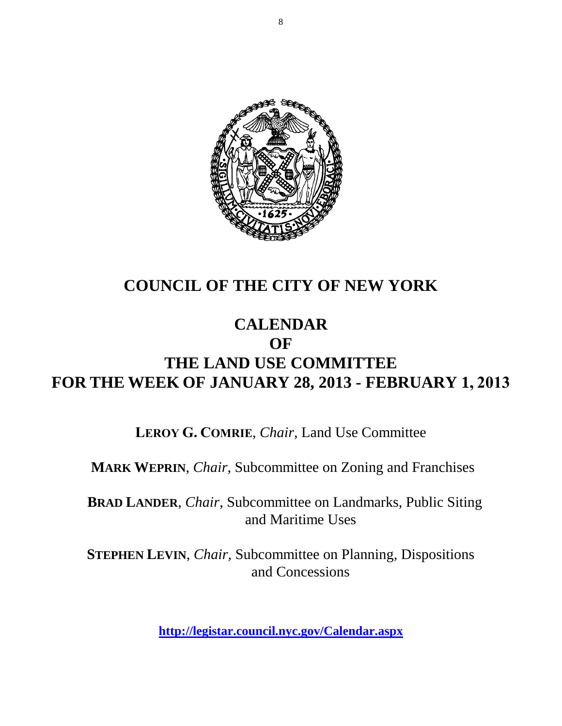

## **COUNCIL OF THE CITY OF NEW YORK**

## **CALENDAR OF THE LAND USE COMMITTEE FOR THE WEEK OF JANUARY 28, 2013 - FEBRUARY 1, 2013**

**LEROY G. COMRIE**, *Chair*, Land Use Committee

**MARK WEPRIN**, *Chair*, Subcommittee on Zoning and Franchises

**BRAD LANDER**, *Chair*, Subcommittee on Landmarks, Public Siting and Maritime Uses

**STEPHEN LEVIN**, *Chair,* Subcommittee on Planning, Dispositions and Concessions

**<http://legistar.council.nyc.gov/Calendar.aspx>**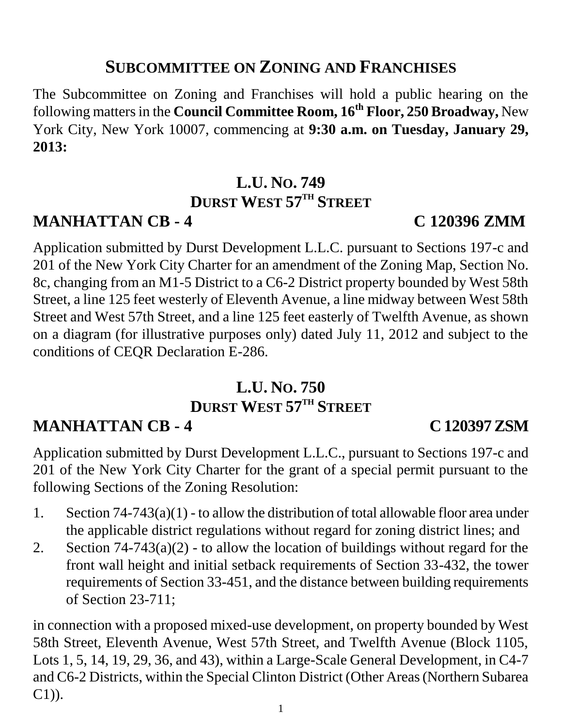## **SUBCOMMITTEE ON ZONING AND FRANCHISES**

The Subcommittee on Zoning and Franchises will hold a public hearing on the following matters in the **Council Committee Room, 16th Floor, 250 Broadway,** New York City, New York 10007, commencing at **9:30 a.m. on Tuesday, January 29, 2013:**

## **L.U. NO. 749 DURST WEST 57TH STREET**

## **MANHATTAN CB - 4 C 120396 ZMM**

Application submitted by Durst Development L.L.C. pursuant to Sections 197-c and 201 of the New York City Charter for an amendment of the Zoning Map, Section No. 8c, changing from an M1-5 District to a C6-2 District property bounded by West 58th Street, a line 125 feet westerly of Eleventh Avenue, a line midway between West 58th Street and West 57th Street, and a line 125 feet easterly of Twelfth Avenue, as shown on a diagram (for illustrative purposes only) dated July 11, 2012 and subject to the conditions of CEQR Declaration E-286.

# **L.U. NO. 750 DURST WEST 57TH STREET**

# **MANHATTAN CB - 4 C 120397 ZSM**

Application submitted by Durst Development L.L.C., pursuant to Sections 197-c and 201 of the New York City Charter for the grant of a special permit pursuant to the following Sections of the Zoning Resolution:

- 1. Section 74-743(a)(1) to allow the distribution of total allowable floor area under the applicable district regulations without regard for zoning district lines; and
- 2. Section  $74-743(a)(2)$  to allow the location of buildings without regard for the front wall height and initial setback requirements of Section 33-432, the tower requirements of Section 33-451, and the distance between building requirements of Section 23-711;

in connection with a proposed mixed-use development, on property bounded by West 58th Street, Eleventh Avenue, West 57th Street, and Twelfth Avenue (Block 1105, Lots 1, 5, 14, 19, 29, 36, and 43), within a Large-Scale General Development, in C4-7 and C6-2 Districts, within the Special Clinton District (Other Areas (Northern Subarea C1)).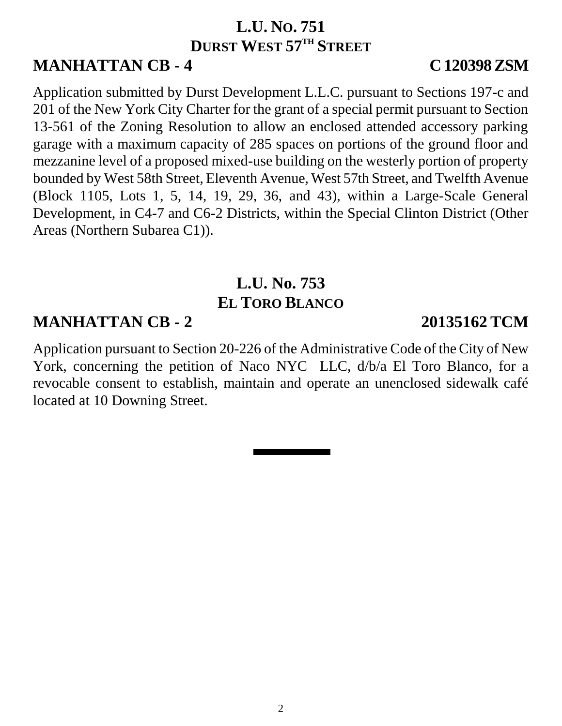## **L.U. NO. 751 DURST WEST 57TH STREET**

# **MANHATTAN CB - 4 C 120398 ZSM**

Application submitted by Durst Development L.L.C. pursuant to Sections 197-c and 201 of the New York City Charter for the grant of a special permit pursuant to Section 13-561 of the Zoning Resolution to allow an enclosed attended accessory parking garage with a maximum capacity of 285 spaces on portions of the ground floor and mezzanine level of a proposed mixed-use building on the westerly portion of property bounded by West 58th Street, Eleventh Avenue, West 57th Street, and Twelfth Avenue (Block 1105, Lots 1, 5, 14, 19, 29, 36, and 43), within a Large-Scale General Development, in C4-7 and C6-2 Districts, within the Special Clinton District (Other Areas (Northern Subarea C1)).

# **L.U. No. 753 EL TORO BLANCO**

## **MANHATTAN CB - 2 20135162 TCM**

Application pursuant to Section 20-226 of the Administrative Code of the City of New York, concerning the petition of Naco NYC LLC, d/b/a El Toro Blanco, for a revocable consent to establish, maintain and operate an unenclosed sidewalk café located at 10 Downing Street.

## 2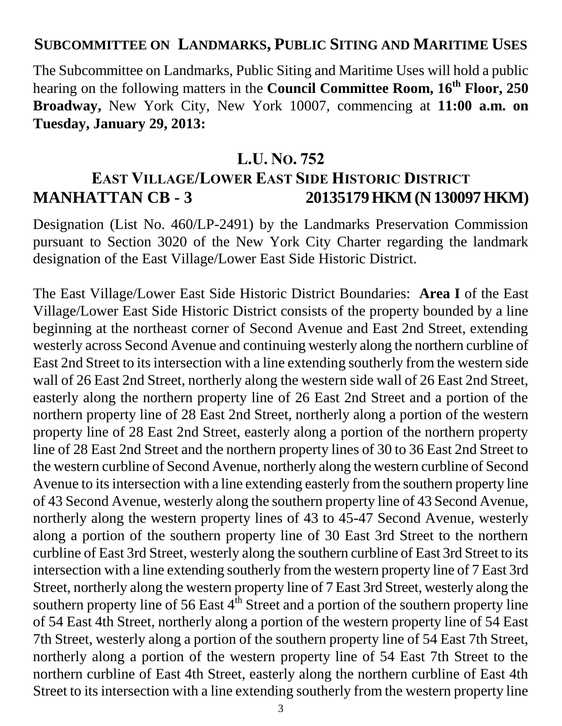## **SUBCOMMITTEE ON LANDMARKS, PUBLIC SITING AND MARITIME USES**

The Subcommittee on Landmarks, Public Siting and Maritime Uses will hold a public hearing on the following matters in the **Council Committee Room, 16th Floor, 250 Broadway,** New York City, New York 10007, commencing at **11:00 a.m. on Tuesday, January 29, 2013:**

## **L.U. NO. 752**

## **EAST VILLAGE/LOWER EAST SIDE HISTORIC DISTRICT MANHATTAN CB - 3 20135179 HKM (N 130097 HKM)**

Designation (List No. 460/LP-2491) by the Landmarks Preservation Commission pursuant to Section 3020 of the New York City Charter regarding the landmark designation of the East Village/Lower East Side Historic District.

The East Village/Lower East Side Historic District Boundaries: **Area I** of the East Village/Lower East Side Historic District consists of the property bounded by a line beginning at the northeast corner of Second Avenue and East 2nd Street, extending westerly across Second Avenue and continuing westerly along the northern curbline of East 2nd Street to its intersection with a line extending southerly from the western side wall of 26 East 2nd Street, northerly along the western side wall of 26 East 2nd Street, easterly along the northern property line of 26 East 2nd Street and a portion of the northern property line of 28 East 2nd Street, northerly along a portion of the western property line of 28 East 2nd Street, easterly along a portion of the northern property line of 28 East 2nd Street and the northern property lines of 30 to 36 East 2nd Street to the western curbline of Second Avenue, northerly along the western curbline of Second Avenue to its intersection with a line extending easterly from the southern property line of 43 Second Avenue, westerly along the southern property line of 43 Second Avenue, northerly along the western property lines of 43 to 45-47 Second Avenue, westerly along a portion of the southern property line of 30 East 3rd Street to the northern curbline of East 3rd Street, westerly along the southern curbline of East 3rd Street to its intersection with a line extending southerly from the western property line of 7 East 3rd Street, northerly along the western property line of 7 East 3rd Street, westerly along the southern property line of 56 East  $4<sup>th</sup>$  Street and a portion of the southern property line of 54 East 4th Street, northerly along a portion of the western property line of 54 East 7th Street, westerly along a portion of the southern property line of 54 East 7th Street, northerly along a portion of the western property line of 54 East 7th Street to the northern curbline of East 4th Street, easterly along the northern curbline of East 4th Street to its intersection with a line extending southerly from the western property line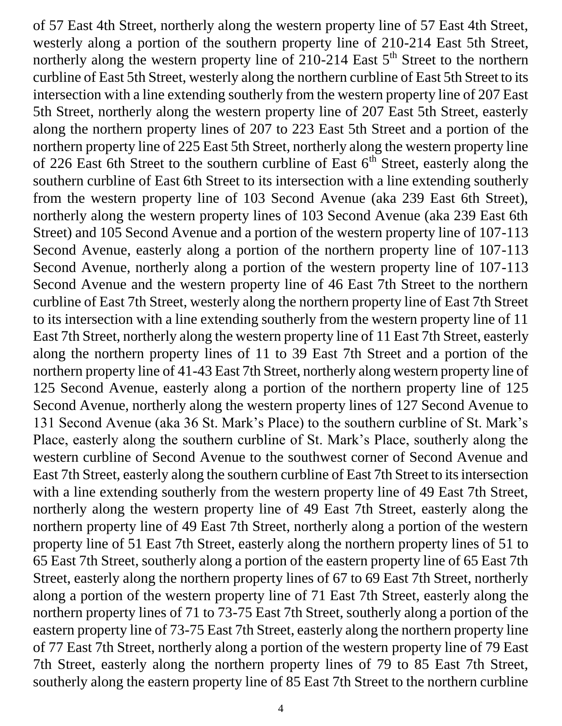of 57 East 4th Street, northerly along the western property line of 57 East 4th Street, westerly along a portion of the southern property line of 210-214 East 5th Street, northerly along the western property line of  $210-214$  East  $5<sup>th</sup>$  Street to the northern curbline of East 5th Street, westerly along the northern curbline of East 5th Street to its intersection with a line extending southerly from the western property line of 207 East 5th Street, northerly along the western property line of 207 East 5th Street, easterly along the northern property lines of 207 to 223 East 5th Street and a portion of the northern property line of 225 East 5th Street, northerly along the western property line of 226 East 6th Street to the southern curbline of East  $6<sup>th</sup>$  Street, easterly along the southern curbline of East 6th Street to its intersection with a line extending southerly from the western property line of 103 Second Avenue (aka 239 East 6th Street), northerly along the western property lines of 103 Second Avenue (aka 239 East 6th Street) and 105 Second Avenue and a portion of the western property line of 107-113 Second Avenue, easterly along a portion of the northern property line of 107-113 Second Avenue, northerly along a portion of the western property line of 107-113 Second Avenue and the western property line of 46 East 7th Street to the northern curbline of East 7th Street, westerly along the northern property line of East 7th Street to its intersection with a line extending southerly from the western property line of 11 East 7th Street, northerly along the western property line of 11 East 7th Street, easterly along the northern property lines of 11 to 39 East 7th Street and a portion of the northern property line of 41-43 East 7th Street, northerly along western property line of 125 Second Avenue, easterly along a portion of the northern property line of 125 Second Avenue, northerly along the western property lines of 127 Second Avenue to 131 Second Avenue (aka 36 St. Mark's Place) to the southern curbline of St. Mark's Place, easterly along the southern curbline of St. Mark's Place, southerly along the western curbline of Second Avenue to the southwest corner of Second Avenue and East 7th Street, easterly along the southern curbline of East 7th Street to its intersection with a line extending southerly from the western property line of 49 East 7th Street, northerly along the western property line of 49 East 7th Street, easterly along the northern property line of 49 East 7th Street, northerly along a portion of the western property line of 51 East 7th Street, easterly along the northern property lines of 51 to 65 East 7th Street, southerly along a portion of the eastern property line of 65 East 7th Street, easterly along the northern property lines of 67 to 69 East 7th Street, northerly along a portion of the western property line of 71 East 7th Street, easterly along the northern property lines of 71 to 73-75 East 7th Street, southerly along a portion of the eastern property line of 73-75 East 7th Street, easterly along the northern property line of 77 East 7th Street, northerly along a portion of the western property line of 79 East 7th Street, easterly along the northern property lines of 79 to 85 East 7th Street, southerly along the eastern property line of 85 East 7th Street to the northern curbline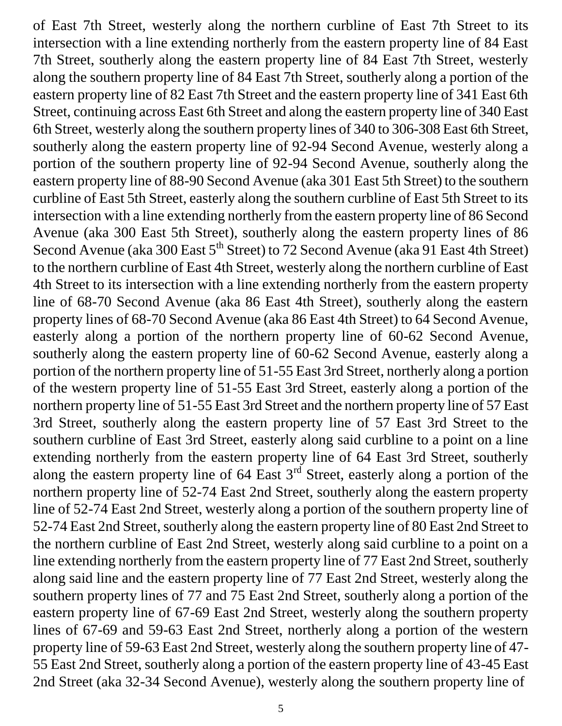of East 7th Street, westerly along the northern curbline of East 7th Street to its intersection with a line extending northerly from the eastern property line of 84 East 7th Street, southerly along the eastern property line of 84 East 7th Street, westerly along the southern property line of 84 East 7th Street, southerly along a portion of the eastern property line of 82 East 7th Street and the eastern property line of 341 East 6th Street, continuing across East 6th Street and along the eastern property line of 340 East 6th Street, westerly along the southern property lines of 340 to 306-308 East 6th Street, southerly along the eastern property line of 92-94 Second Avenue, westerly along a portion of the southern property line of 92-94 Second Avenue, southerly along the eastern property line of 88-90 Second Avenue (aka 301 East 5th Street) to the southern curbline of East 5th Street, easterly along the southern curbline of East 5th Street to its intersection with a line extending northerly from the eastern property line of 86 Second Avenue (aka 300 East 5th Street), southerly along the eastern property lines of 86 Second Avenue (aka 300 East 5<sup>th</sup> Street) to 72 Second Avenue (aka 91 East 4th Street) to the northern curbline of East 4th Street, westerly along the northern curbline of East 4th Street to its intersection with a line extending northerly from the eastern property line of 68-70 Second Avenue (aka 86 East 4th Street), southerly along the eastern property lines of 68-70 Second Avenue (aka 86 East 4th Street) to 64 Second Avenue, easterly along a portion of the northern property line of 60-62 Second Avenue, southerly along the eastern property line of 60-62 Second Avenue, easterly along a portion of the northern property line of 51-55 East 3rd Street, northerly along a portion of the western property line of 51-55 East 3rd Street, easterly along a portion of the northern property line of 51-55 East 3rd Street and the northern property line of 57 East 3rd Street, southerly along the eastern property line of 57 East 3rd Street to the southern curbline of East 3rd Street, easterly along said curbline to a point on a line extending northerly from the eastern property line of 64 East 3rd Street, southerly along the eastern property line of 64 East 3<sup>rd</sup> Street, easterly along a portion of the northern property line of 52-74 East 2nd Street, southerly along the eastern property line of 52-74 East 2nd Street, westerly along a portion of the southern property line of 52-74 East 2nd Street, southerly along the eastern property line of 80 East 2nd Street to the northern curbline of East 2nd Street, westerly along said curbline to a point on a line extending northerly from the eastern property line of 77 East 2nd Street, southerly along said line and the eastern property line of 77 East 2nd Street, westerly along the southern property lines of 77 and 75 East 2nd Street, southerly along a portion of the eastern property line of 67-69 East 2nd Street, westerly along the southern property lines of 67-69 and 59-63 East 2nd Street, northerly along a portion of the western property line of 59-63 East 2nd Street, westerly along the southern property line of 47- 55 East 2nd Street, southerly along a portion of the eastern property line of 43-45 East 2nd Street (aka 32-34 Second Avenue), westerly along the southern property line of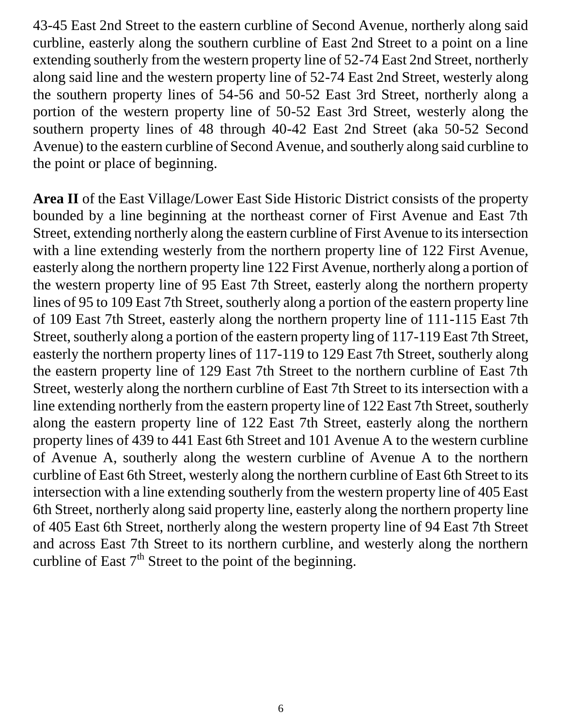43-45 East 2nd Street to the eastern curbline of Second Avenue, northerly along said curbline, easterly along the southern curbline of East 2nd Street to a point on a line extending southerly from the western property line of 52-74 East 2nd Street, northerly along said line and the western property line of 52-74 East 2nd Street, westerly along the southern property lines of 54-56 and 50-52 East 3rd Street, northerly along a portion of the western property line of 50-52 East 3rd Street, westerly along the southern property lines of 48 through 40-42 East 2nd Street (aka 50-52 Second Avenue) to the eastern curbline of Second Avenue, and southerly along said curbline to the point or place of beginning.

**Area II** of the East Village/Lower East Side Historic District consists of the property bounded by a line beginning at the northeast corner of First Avenue and East 7th Street, extending northerly along the eastern curbline of First Avenue to its intersection with a line extending westerly from the northern property line of 122 First Avenue, easterly along the northern property line 122 First Avenue, northerly along a portion of the western property line of 95 East 7th Street, easterly along the northern property lines of 95 to 109 East 7th Street, southerly along a portion of the eastern property line of 109 East 7th Street, easterly along the northern property line of 111-115 East 7th Street, southerly along a portion of the eastern property ling of 117-119 East 7th Street, easterly the northern property lines of 117-119 to 129 East 7th Street, southerly along the eastern property line of 129 East 7th Street to the northern curbline of East 7th Street, westerly along the northern curbline of East 7th Street to its intersection with a line extending northerly from the eastern property line of 122 East 7th Street, southerly along the eastern property line of 122 East 7th Street, easterly along the northern property lines of 439 to 441 East 6th Street and 101 Avenue A to the western curbline of Avenue A, southerly along the western curbline of Avenue A to the northern curbline of East 6th Street, westerly along the northern curbline of East 6th Street to its intersection with a line extending southerly from the western property line of 405 East 6th Street, northerly along said property line, easterly along the northern property line of 405 East 6th Street, northerly along the western property line of 94 East 7th Street and across East 7th Street to its northern curbline, and westerly along the northern curbline of East  $7<sup>th</sup>$  Street to the point of the beginning.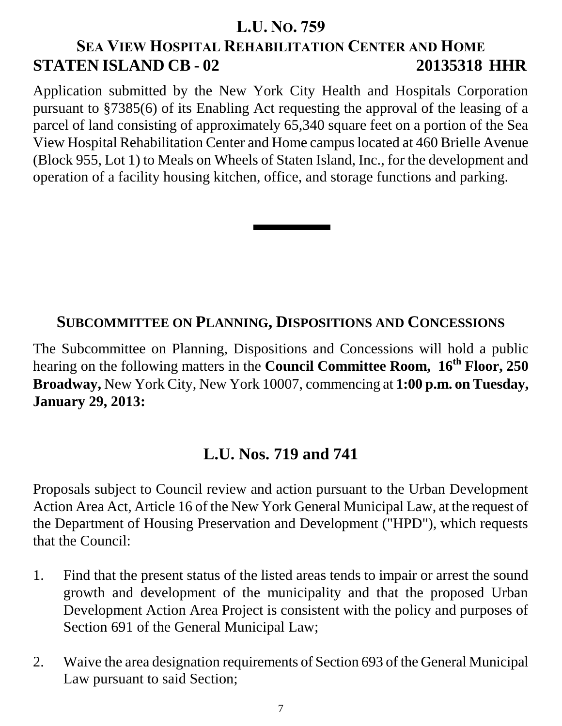## **L.U. NO. 759**

# **SEA VIEW HOSPITAL REHABILITATION CENTER AND HOME STATEN ISLAND CB - 02 20135318 HHR**

Application submitted by the New York City Health and Hospitals Corporation pursuant to §7385(6) of its Enabling Act requesting the approval of the leasing of a parcel of land consisting of approximately 65,340 square feet on a portion of the Sea View Hospital Rehabilitation Center and Home campus located at 460 Brielle Avenue (Block 955, Lot 1) to Meals on Wheels of Staten Island, Inc., for the development and operation of a facility housing kitchen, office, and storage functions and parking.

## **SUBCOMMITTEE ON PLANNING, DISPOSITIONS AND CONCESSIONS**

The Subcommittee on Planning, Dispositions and Concessions will hold a public hearing on the following matters in the **Council Committee Room, 16th Floor, 250 Broadway,** New York City, New York 10007, commencing at **1:00 p.m. on Tuesday, January 29, 2013:**

## **L.U. Nos. 719 and 741**

Proposals subject to Council review and action pursuant to the Urban Development Action Area Act, Article 16 of the New York General Municipal Law, at the request of the Department of Housing Preservation and Development ("HPD"), which requests that the Council:

- 1. Find that the present status of the listed areas tends to impair or arrest the sound growth and development of the municipality and that the proposed Urban Development Action Area Project is consistent with the policy and purposes of Section 691 of the General Municipal Law;
- 2. Waive the area designation requirements of Section 693 of the General Municipal Law pursuant to said Section;